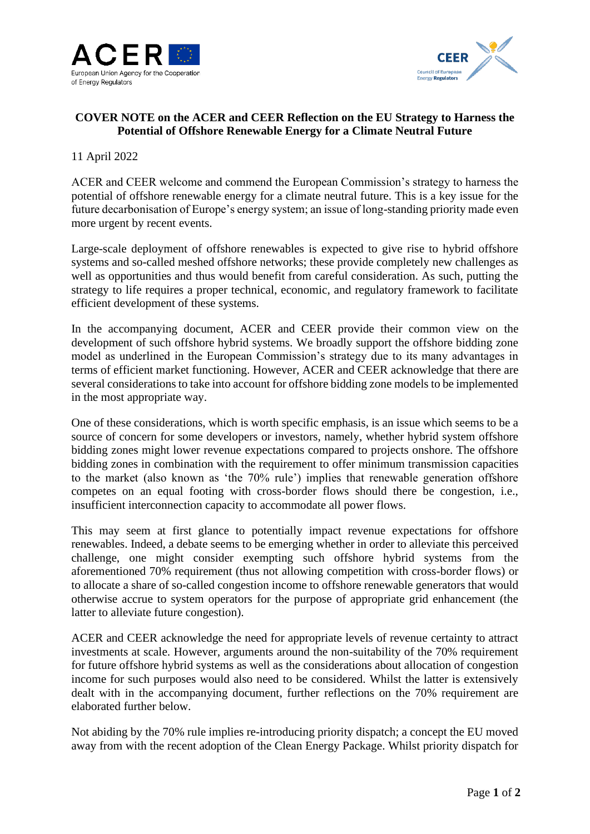



## **COVER NOTE on the ACER and CEER Reflection on the EU Strategy to Harness the Potential of Offshore Renewable Energy for a Climate Neutral Future**

## 11 April 2022

ACER and CEER welcome and commend the European Commission's strategy to harness the potential of offshore renewable energy for a climate neutral future. This is a key issue for the future decarbonisation of Europe's energy system; an issue of long-standing priority made even more urgent by recent events.

Large-scale deployment of offshore renewables is expected to give rise to hybrid offshore systems and so-called meshed offshore networks; these provide completely new challenges as well as opportunities and thus would benefit from careful consideration. As such, putting the strategy to life requires a proper technical, economic, and regulatory framework to facilitate efficient development of these systems.

In the accompanying document, ACER and CEER provide their common view on the development of such offshore hybrid systems. We broadly support the offshore bidding zone model as underlined in the European Commission's strategy due to its many advantages in terms of efficient market functioning. However, ACER and CEER acknowledge that there are several considerations to take into account for offshore bidding zone models to be implemented in the most appropriate way.

One of these considerations, which is worth specific emphasis, is an issue which seems to be a source of concern for some developers or investors, namely, whether hybrid system offshore bidding zones might lower revenue expectations compared to projects onshore. The offshore bidding zones in combination with the requirement to offer minimum transmission capacities to the market (also known as 'the 70% rule') implies that renewable generation offshore competes on an equal footing with cross-border flows should there be congestion, i.e., insufficient interconnection capacity to accommodate all power flows.

This may seem at first glance to potentially impact revenue expectations for offshore renewables. Indeed, a debate seems to be emerging whether in order to alleviate this perceived challenge, one might consider exempting such offshore hybrid systems from the aforementioned 70% requirement (thus not allowing competition with cross-border flows) or to allocate a share of so-called congestion income to offshore renewable generators that would otherwise accrue to system operators for the purpose of appropriate grid enhancement (the latter to alleviate future congestion).

ACER and CEER acknowledge the need for appropriate levels of revenue certainty to attract investments at scale. However, arguments around the non-suitability of the 70% requirement for future offshore hybrid systems as well as the considerations about allocation of congestion income for such purposes would also need to be considered. Whilst the latter is extensively dealt with in the accompanying document, further reflections on the 70% requirement are elaborated further below.

Not abiding by the 70% rule implies re-introducing priority dispatch; a concept the EU moved away from with the recent adoption of the Clean Energy Package. Whilst priority dispatch for